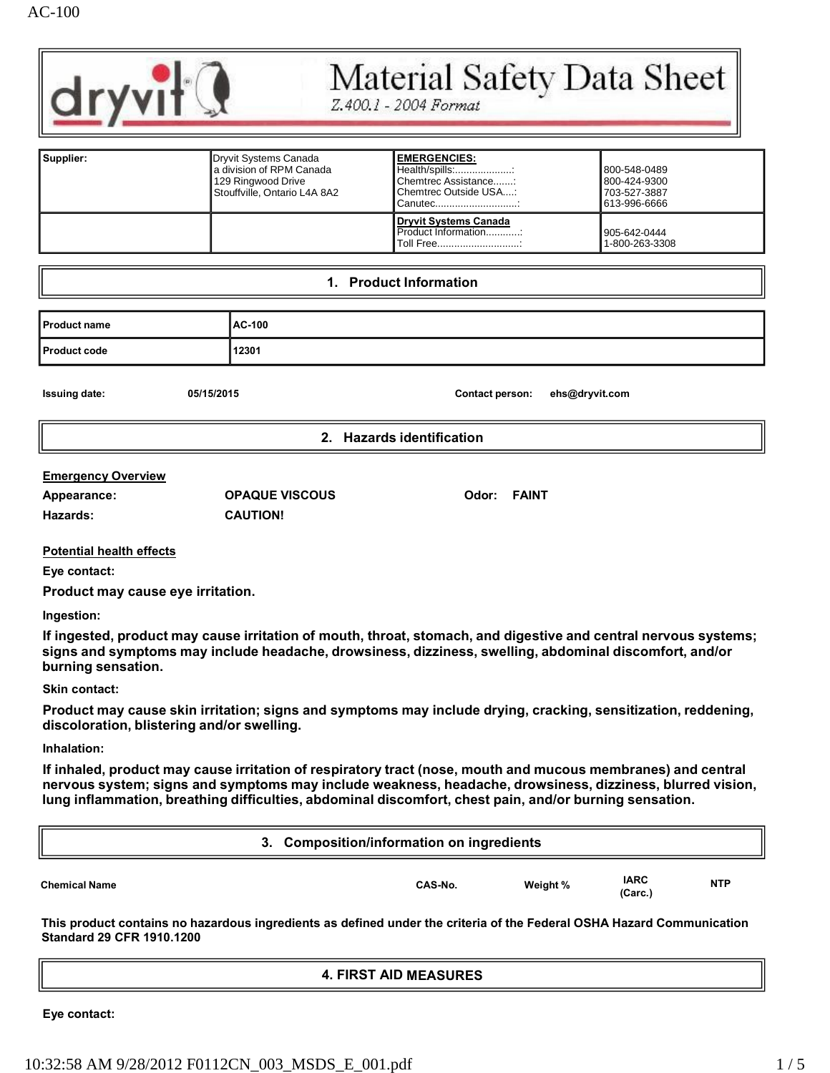

# Material Safety Data Sheet

Z.400.1 - 2004 Format

| Supplier: | Dryvit Systems Canada<br>l a division of RPM Canada<br>129 Ringwood Drive<br>Stouffville. Ontario L4A 8A2 | <b>EMERGENCIES:</b><br>Health/spills:<br>Chemtrec Assistance:<br>Chemtrec Outside USA<br>Canutec | 800-548-0489<br>800-424-9300<br>703-527-3887<br>613-996-6666 |
|-----------|-----------------------------------------------------------------------------------------------------------|--------------------------------------------------------------------------------------------------|--------------------------------------------------------------|
|           |                                                                                                           | <b>Dryvit Systems Canada</b><br>Product Information:<br>Toll Free                                | 905-642-0444<br>1-800-263-3308                               |

#### **1. Product Information**

| <b>Product name</b> | AC-100 |
|---------------------|--------|
| Product code        | 12301  |

**Issuing date: 05/15/2015 Contact person: [ehs@dryvit.com](mailto:ehs@dryvit.com)**

**2. Hazards identification**

#### **Emergency Overview**

| Appearance: | <b>OPAQUE \</b> |
|-------------|-----------------|
| Hazards:    | <b>CAUTION!</b> |

**Appearance: OPAQUE VISCOUS Odor: FAINT**

#### **Potential health effects**

**Eye contact:**

**Product may cause eye irritation.**

**Ingestion:**

**If ingested, product may cause irritation of mouth, throat, stomach, and digestive and central nervous systems; signs and symptoms may include headache, drowsiness, dizziness, swelling, abdominal discomfort, and/or burning sensation.**

#### **Skin contact:**

**Product may cause skin irritation; signs and symptoms may include drying, cracking, sensitization, reddening, discoloration, blistering and/or swelling.**

#### **Inhalation:**

**If inhaled, product may cause irritation of respiratory tract (nose, mouth and mucous membranes) and central nervous system; signs and symptoms may include weakness, headache, drowsiness, dizziness, blurred vision, lung inflammation, breathing difficulties, abdominal discomfort, chest pain, and/or burning sensation.**

|                      | 3. Composition/information on ingredients |          |                        |            |
|----------------------|-------------------------------------------|----------|------------------------|------------|
| <b>Chemical Name</b> | CAS-No.                                   | Weight % | <b>IARC</b><br>(Carc.) | <b>NTP</b> |

**This product contains no hazardous ingredients as defined under the criteria of the Federal OSHA Hazard Communication Standard 29 CFR 1910.1200**

# **4. FIRST AID MEASURES**

**Eye contact:**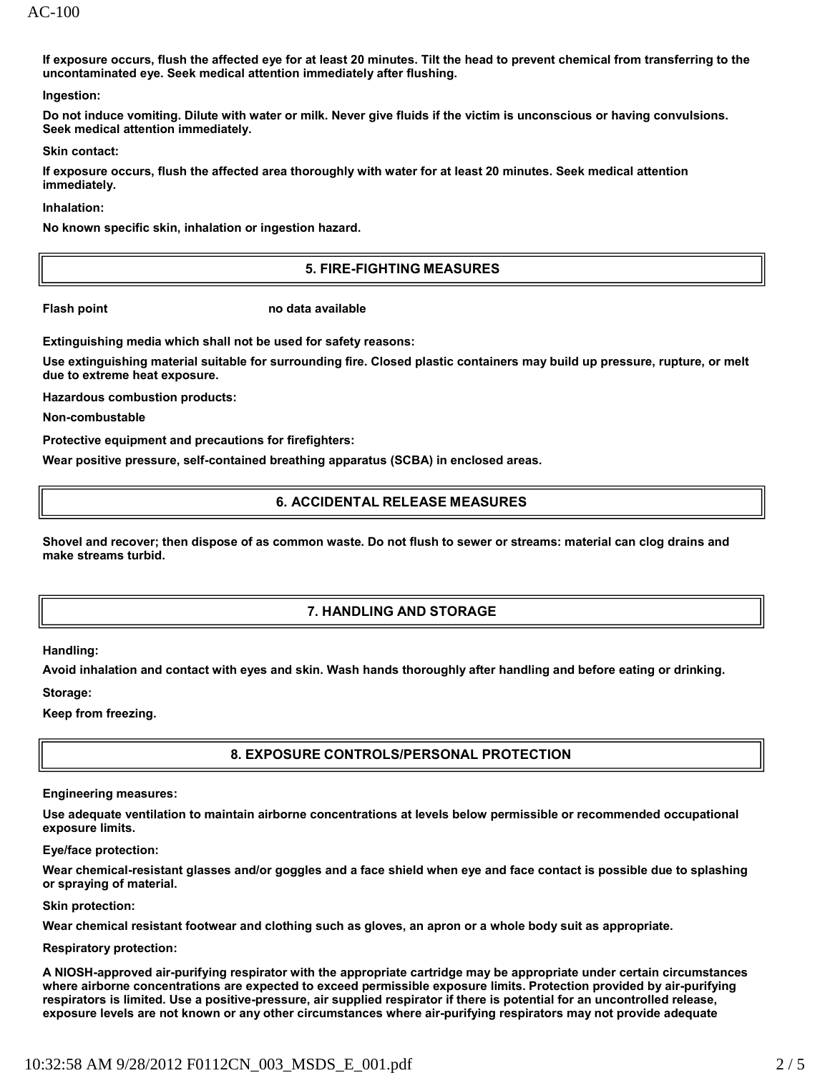AC-100

**If exposure occurs, flush the affected eye for at least 20 minutes. Tilt the head to prevent chemical from transferring to the uncontaminated eye. Seek medical attention immediately after flushing.**

**Ingestion:**

**Do not induce vomiting. Dilute with water or milk. Never give fluids if the victim is unconscious or having convulsions. Seek medical attention immediately.**

**Skin contact:**

**If exposure occurs, flush the affected area thoroughly with water for at least 20 minutes. Seek medical attention immediately.**

**Inhalation:**

**No known specific skin, inhalation or ingestion hazard.**

#### **5. FIRE-FIGHTING MEASURES**

**Flash point no data available**

**Extinguishing media which shall not be used for safety reasons:**

**Use extinguishing material suitable for surrounding fire. Closed plastic containers may build up pressure, rupture, or melt due to extreme heat exposure.**

**Hazardous combustion products:** 

**Non-combustable**

**Protective equipment and precautions for firefighters:**

**Wear positive pressure, self-contained breathing apparatus (SCBA) in enclosed areas.**

#### **6. ACCIDENTAL RELEASE MEASURES**

**Shovel and recover; then dispose of as common waste. Do not flush to sewer or streams: material can clog drains and make streams turbid.**

#### **7. HANDLING AND STORAGE**

**Handling:**

**Avoid inhalation and contact with eyes and skin. Wash hands thoroughly after handling and before eating or drinking.** 

**Storage:**

**Keep from freezing.**

#### **8. EXPOSURE CONTROLS/PERSONAL PROTECTION**

**Engineering measures:**

**Use adequate ventilation to maintain airborne concentrations at levels below permissible or recommended occupational exposure limits.**

**Eye/face protection:**

**Wear chemical-resistant glasses and/or goggles and a face shield when eye and face contact is possible due to splashing or spraying of material.**

**Skin protection:**

**Wear chemical resistant footwear and clothing such as gloves, an apron or a whole body suit as appropriate.** 

**Respiratory protection:**

**A NIOSH-approved air-purifying respirator with the appropriate cartridge may be appropriate under certain circumstances where airborne concentrations are expected to exceed permissible exposure limits. Protection provided by air-purifying respirators is limited. Use a positive-pressure, air supplied respirator if there is potential for an uncontrolled release, exposure levels are not known or any other circumstances where air-purifying respirators may not provide adequate**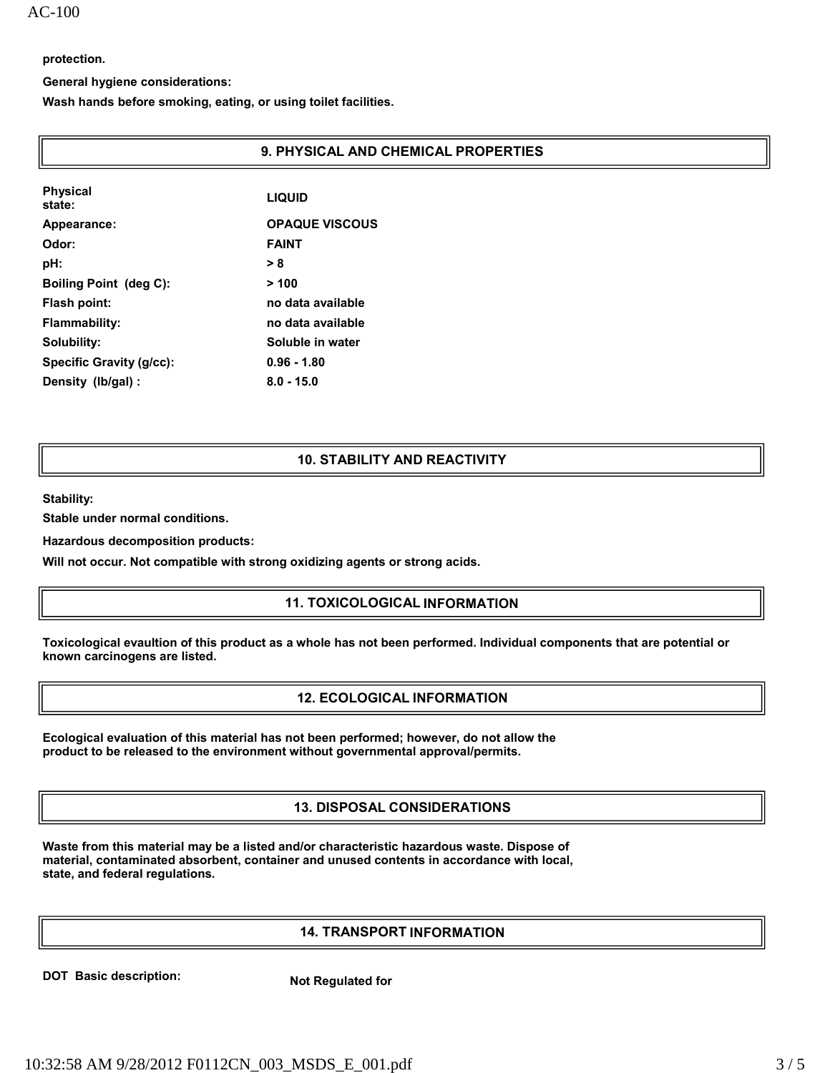**protection.**

**General hygiene considerations:**

**Wash hands before smoking, eating, or using toilet facilities.**

#### **9. PHYSICAL AND CHEMICAL PROPERTIES**

| <b>Physical</b><br>state:     | <b>LIQUID</b>         |
|-------------------------------|-----------------------|
| Appearance:                   | <b>OPAQUE VISCOUS</b> |
| Odor:                         | <b>FAINT</b>          |
| pH:                           | > 8                   |
| <b>Boiling Point (deg C):</b> | >100                  |
| Flash point:                  | no data available     |
| Flammability:                 | no data available     |
| Solubility:                   | Soluble in water      |
| Specific Gravity (g/cc):      | $0.96 - 1.80$         |
| Density (lb/gal):             | $8.0 - 15.0$          |

#### **10. STABILITY AND REACTIVITY**

**Stability:**

**Stable under normal conditions.** 

**Hazardous decomposition products:**

**Will not occur. Not compatible with strong oxidizing agents or strong acids.**

# **11. TOXICOLOGICAL INFORMATION**

**Toxicological evaultion of this product as a whole has not been performed. Individual components that are potential or known carcinogens are listed.**

# **12. ECOLOGICAL INFORMATION**

**Ecological evaluation of this material has not been performed; however, do not allow the product to be released to the environment without governmental approval/permits.**

# **13. DISPOSAL CONSIDERATIONS**

**Waste from this material may be a listed and/or characteristic hazardous waste. Dispose of material, contaminated absorbent, container and unused contents in accordance with local, state, and federal regulations.**

# **14. TRANSPORT INFORMATION**

**DOT Basic description:** Not Regulated for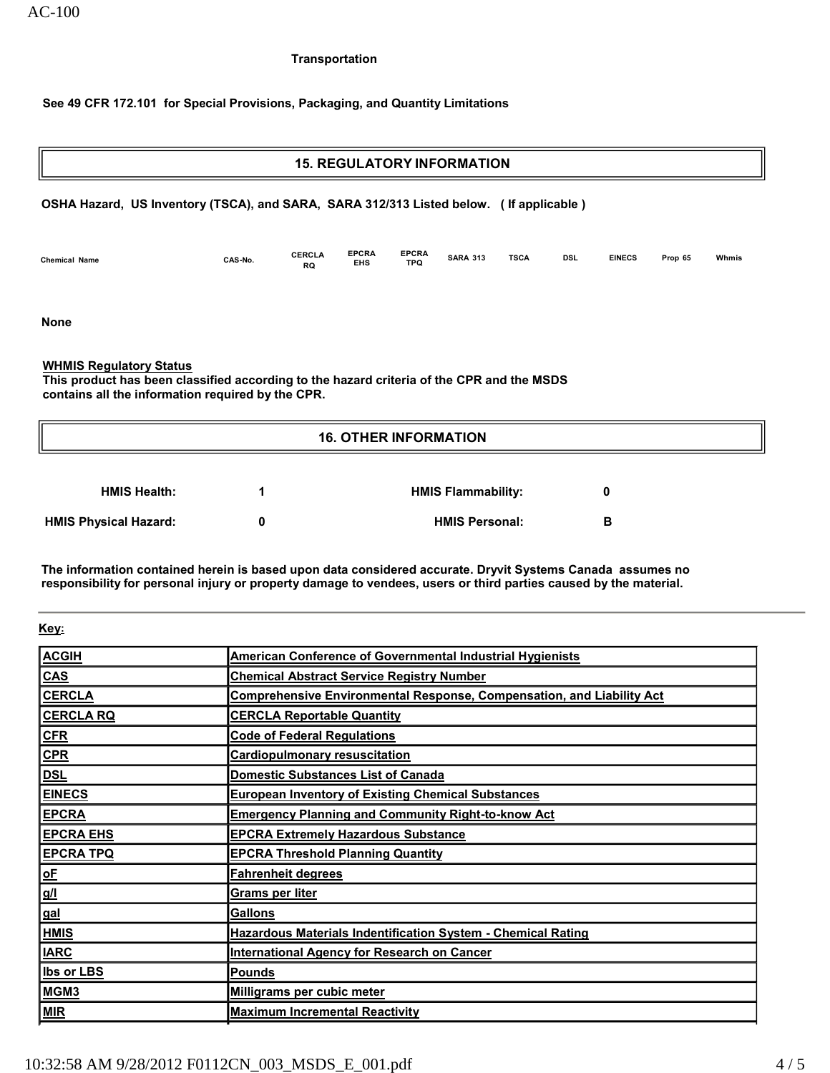AC-100

#### **Transportation**

# **See 49 CFR 172.101 for Special Provisions, Packaging, and Quantity Limitations**

# **15. REGULATORY INFORMATION OSHA Hazard, US Inventory (TSCA), and SARA, SARA 312/313 Listed below. ( If applicable ) Chemical Name CAS-No. CERCLA RQ EPCRA EHS EPCRA TPQ SARA 313 TSCA DSL EINECS Prop 65 Whmis None WHMIS Regulatory Status This product has been classified according to the hazard criteria of the CPR and the MSDS contains all the information required by the CPR. 16. OTHER INFORMATION**

| <b>HMIS Health:</b>          | <b>HMIS Flammability:</b> |   |  |
|------------------------------|---------------------------|---|--|
| <b>HMIS Physical Hazard:</b> | <b>HMIS Personal:</b>     | в |  |

**The information contained herein is based upon data considered accurate. Dryvit Systems Canada assumes no responsibility for personal injury or property damage to vendees, users or third parties caused by the material.**

**Key:**

| <b>ACGIH</b>               | American Conference of Governmental Industrial Hygienists                    |
|----------------------------|------------------------------------------------------------------------------|
| <b>CAS</b>                 | <b>Chemical Abstract Service Registry Number</b>                             |
| <b>CERCLA</b>              | <b>Comprehensive Environmental Response, Compensation, and Liability Act</b> |
| <b>CERCLA RQ</b>           | <b>CERCLA Reportable Quantity</b>                                            |
| CFR                        | <b>Code of Federal Regulations</b>                                           |
| CPR                        | <b>Cardiopulmonary resuscitation</b>                                         |
| <b>DSL</b>                 | <b>Domestic Substances List of Canada</b>                                    |
| <b>EINECS</b>              | <b>European Inventory of Existing Chemical Substances</b>                    |
| <b>EPCRA</b>               | <b>Emergency Planning and Community Right-to-know Act</b>                    |
| <b>EPCRA EHS</b>           | <b>EPCRA Extremely Hazardous Substance</b>                                   |
| <b>EPCRA TPQ</b>           | <b>EPCRA Threshold Planning Quantity</b>                                     |
| $\underline{\mathsf{o}}$ E | <b>Fahrenheit degrees</b>                                                    |
| g/l                        | Grams per liter                                                              |
| gal                        | <b>Gallons</b>                                                               |
| <b>HMIS</b>                | <b>Hazardous Materials Indentification System - Chemical Rating</b>          |
| <b>IARC</b>                | International Agency for Research on Cancer                                  |
| <b>Ibs or LBS</b>          | <b>Pounds</b>                                                                |
| MGM <sub>3</sub>           | Milligrams per cubic meter                                                   |
| <b>MIR</b>                 | <b>Maximum Incremental Reactivity</b>                                        |